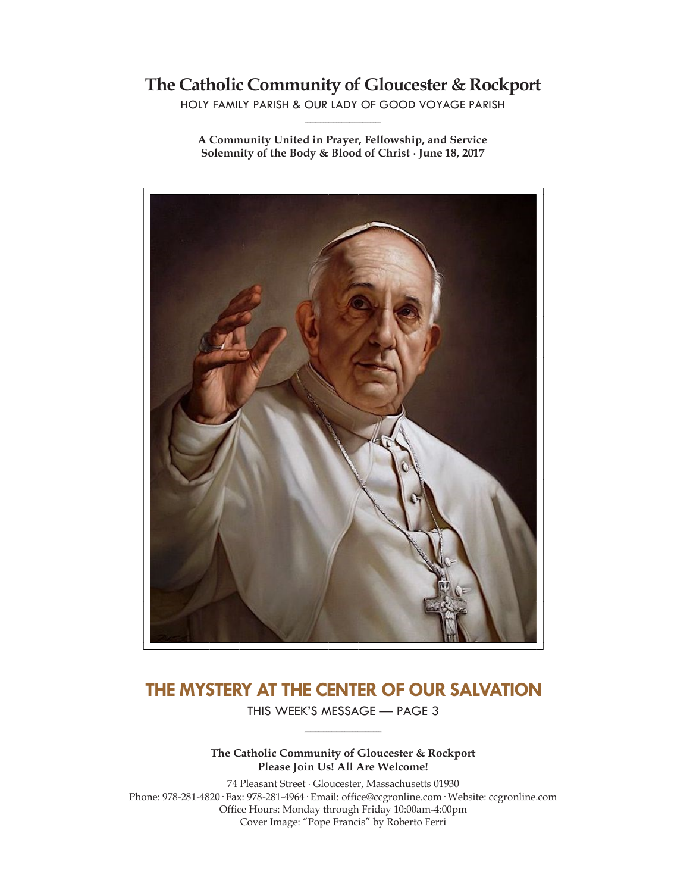# **The Catholic Community of Gloucester & Rockport**

HOLY FAMILY PARISH & OUR LADY OF GOOD VOYAGE PARISH **\_\_\_\_\_\_\_\_\_\_\_\_\_\_\_\_\_\_\_\_\_\_\_\_\_\_\_\_\_**

**A Community United in Prayer, Fellowship, and Service Solemnity of the Body & Blood of Christ ∙ June 18, 2017**



# **THE MYSTERY AT THE CENTER OF OUR SALVATION**

THIS WEEK'S MESSAGE — PAGE 3 **\_\_\_\_\_\_\_\_\_\_\_\_\_\_\_\_\_\_\_\_\_\_\_\_\_\_\_\_\_**

**The Catholic Community of Gloucester & Rockport Please Join Us! All Are Welcome!**

74 Pleasant Street ∙ Gloucester, Massachusetts 01930 Phone: 978-281-4820· Fax: 978-281-4964· Email: office@ccgronline.com· Website: ccgronline.com Office Hours: Monday through Friday 10:00am-4:00pm Cover Image: "Pope Francis" by Roberto Ferri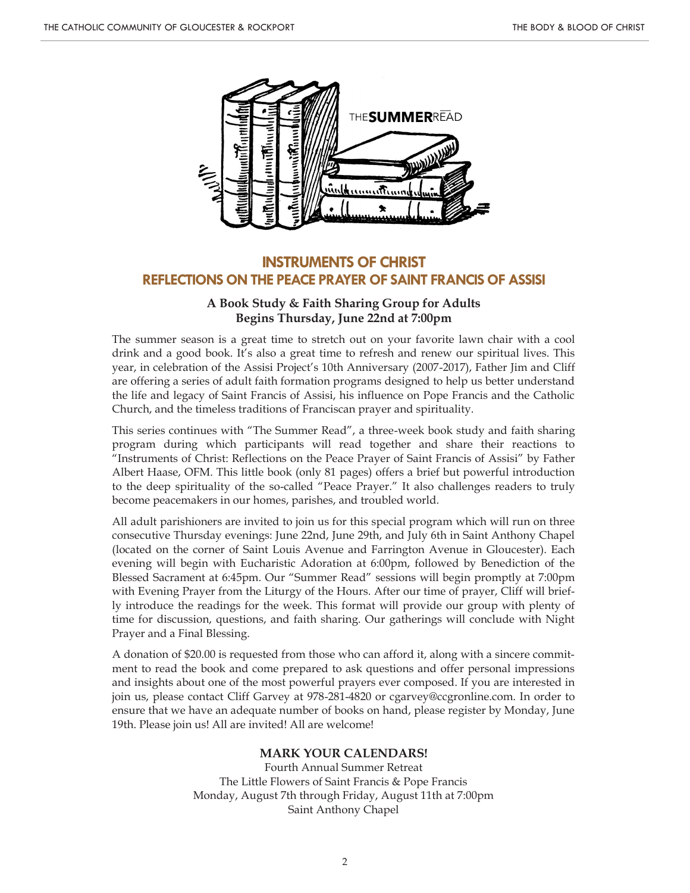

# **INSTRUMENTS OF CHRIST REFLECTIONS ON THE PEACE PRAYER OF SAINT FRANCIS OF ASSISI**

### **A Book Study & Faith Sharing Group for Adults Begins Thursday, June 22nd at 7:00pm**

The summer season is a great time to stretch out on your favorite lawn chair with a cool drink and a good book. It's also a great time to refresh and renew our spiritual lives. This year, in celebration of the Assisi Project's 10th Anniversary (2007-2017), Father Jim and Cliff are offering a series of adult faith formation programs designed to help us better understand the life and legacy of Saint Francis of Assisi, his influence on Pope Francis and the Catholic Church, and the timeless traditions of Franciscan prayer and spirituality.

This series continues with "The Summer Read", a three-week book study and faith sharing program during which participants will read together and share their reactions to "Instruments of Christ: Reflections on the Peace Prayer of Saint Francis of Assisi" by Father Albert Haase, OFM. This little book (only 81 pages) offers a brief but powerful introduction to the deep spirituality of the so-called "Peace Prayer." It also challenges readers to truly become peacemakers in our homes, parishes, and troubled world.

All adult parishioners are invited to join us for this special program which will run on three consecutive Thursday evenings: June 22nd, June 29th, and July 6th in Saint Anthony Chapel (located on the corner of Saint Louis Avenue and Farrington Avenue in Gloucester). Each evening will begin with Eucharistic Adoration at 6:00pm, followed by Benediction of the Blessed Sacrament at 6:45pm. Our "Summer Read" sessions will begin promptly at 7:00pm with Evening Prayer from the Liturgy of the Hours. After our time of prayer, Cliff will briefly introduce the readings for the week. This format will provide our group with plenty of time for discussion, questions, and faith sharing. Our gatherings will conclude with Night Prayer and a Final Blessing.

A donation of \$20.00 is requested from those who can afford it, along with a sincere commitment to read the book and come prepared to ask questions and offer personal impressions and insights about one of the most powerful prayers ever composed. If you are interested in join us, please contact Cliff Garvey at 978-281-4820 or cgarvey@ccgronline.com. In order to ensure that we have an adequate number of books on hand, please register by Monday, June 19th. Please join us! All are invited! All are welcome!

#### **MARK YOUR CALENDARS!**

Fourth Annual Summer Retreat The Little Flowers of Saint Francis & Pope Francis Monday, August 7th through Friday, August 11th at 7:00pm Saint Anthony Chapel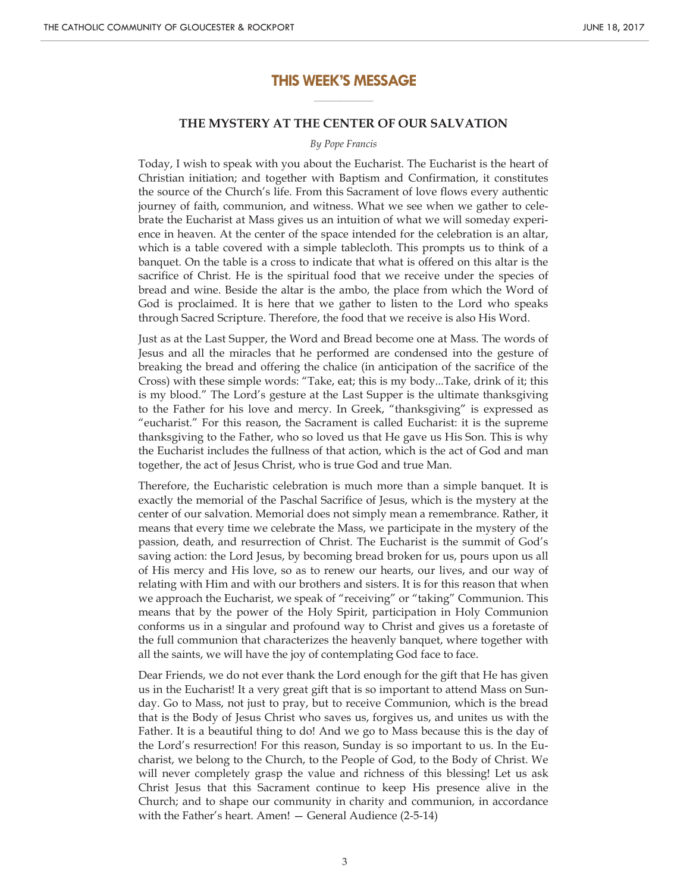### **THIS WEEK'S MESSAGE \_\_\_\_\_\_\_\_\_\_\_\_\_\_\_\_\_\_\_\_\_**

#### **THE MYSTERY AT THE CENTER OF OUR SALVATION**

#### *By Pope Francis*

Today, I wish to speak with you about the Eucharist. The Eucharist is the heart of Christian initiation; and together with Baptism and Confirmation, it constitutes the source of the Church's life. From this Sacrament of love flows every authentic journey of faith, communion, and witness. What we see when we gather to celebrate the Eucharist at Mass gives us an intuition of what we will someday experience in heaven. At the center of the space intended for the celebration is an altar, which is a table covered with a simple tablecloth. This prompts us to think of a banquet. On the table is a cross to indicate that what is offered on this altar is the sacrifice of Christ. He is the spiritual food that we receive under the species of bread and wine. Beside the altar is the ambo, the place from which the Word of God is proclaimed. It is here that we gather to listen to the Lord who speaks through Sacred Scripture. Therefore, the food that we receive is also His Word.

Just as at the Last Supper, the Word and Bread become one at Mass. The words of Jesus and all the miracles that he performed are condensed into the gesture of breaking the bread and offering the chalice (in anticipation of the sacrifice of the Cross) with these simple words: "Take, eat; this is my body...Take, drink of it; this is my blood." The Lord's gesture at the Last Supper is the ultimate thanksgiving to the Father for his love and mercy. In Greek, "thanksgiving" is expressed as "eucharist." For this reason, the Sacrament is called Eucharist: it is the supreme thanksgiving to the Father, who so loved us that He gave us His Son. This is why the Eucharist includes the fullness of that action, which is the act of God and man together, the act of Jesus Christ, who is true God and true Man.

Therefore, the Eucharistic celebration is much more than a simple banquet. It is exactly the memorial of the Paschal Sacrifice of Jesus, which is the mystery at the center of our salvation. Memorial does not simply mean a remembrance. Rather, it means that every time we celebrate the Mass, we participate in the mystery of the passion, death, and resurrection of Christ. The Eucharist is the summit of God's saving action: the Lord Jesus, by becoming bread broken for us, pours upon us all of His mercy and His love, so as to renew our hearts, our lives, and our way of relating with Him and with our brothers and sisters. It is for this reason that when we approach the Eucharist, we speak of "receiving" or "taking" Communion. This means that by the power of the Holy Spirit, participation in Holy Communion conforms us in a singular and profound way to Christ and gives us a foretaste of the full communion that characterizes the heavenly banquet, where together with all the saints, we will have the joy of contemplating God face to face.

Dear Friends, we do not ever thank the Lord enough for the gift that He has given us in the Eucharist! It a very great gift that is so important to attend Mass on Sunday. Go to Mass, not just to pray, but to receive Communion, which is the bread that is the Body of Jesus Christ who saves us, forgives us, and unites us with the Father. It is a beautiful thing to do! And we go to Mass because this is the day of the Lord's resurrection! For this reason, Sunday is so important to us. In the Eucharist, we belong to the Church, to the People of God, to the Body of Christ. We will never completely grasp the value and richness of this blessing! Let us ask Christ Jesus that this Sacrament continue to keep His presence alive in the Church; and to shape our community in charity and communion, in accordance with the Father's heart. Amen! — General Audience (2-5-14)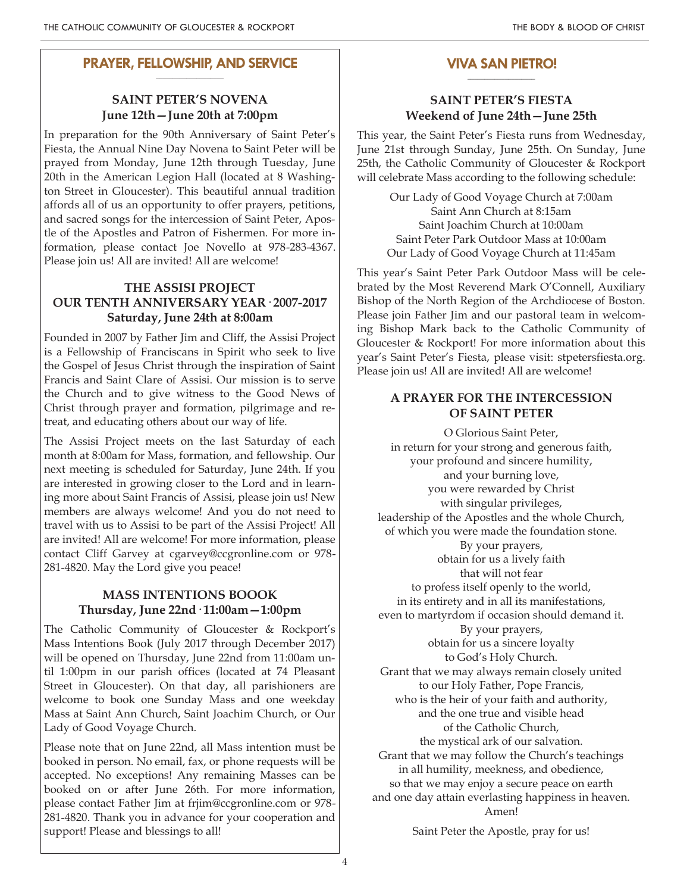#### **PRAYER, FELLOWSHIP, AND SERVICE \_\_\_\_\_\_\_\_\_\_\_\_\_\_\_\_\_\_\_\_**

# **SAINT PETER'S NOVENA June 12th—June 20th at 7:00pm**

In preparation for the 90th Anniversary of Saint Peter's Fiesta, the Annual Nine Day Novena to Saint Peter will be prayed from Monday, June 12th through Tuesday, June 20th in the American Legion Hall (located at 8 Washington Street in Gloucester). This beautiful annual tradition affords all of us an opportunity to offer prayers, petitions, and sacred songs for the intercession of Saint Peter, Apostle of the Apostles and Patron of Fishermen. For more information, please contact Joe Novello at 978-283-4367. Please join us! All are invited! All are welcome!

# **THE ASSISI PROJECT OUR TENTH ANNIVERSARY YEAR· 2007-2017 Saturday, June 24th at 8:00am**

Founded in 2007 by Father Jim and Cliff, the Assisi Project is a Fellowship of Franciscans in Spirit who seek to live the Gospel of Jesus Christ through the inspiration of Saint Francis and Saint Clare of Assisi. Our mission is to serve the Church and to give witness to the Good News of Christ through prayer and formation, pilgrimage and retreat, and educating others about our way of life.

The Assisi Project meets on the last Saturday of each month at 8:00am for Mass, formation, and fellowship. Our next meeting is scheduled for Saturday, June 24th. If you are interested in growing closer to the Lord and in learning more about Saint Francis of Assisi, please join us! New members are always welcome! And you do not need to travel with us to Assisi to be part of the Assisi Project! All are invited! All are welcome! For more information, please contact Cliff Garvey at cgarvey@ccgronline.com or 978- 281-4820. May the Lord give you peace!

# **MASS INTENTIONS BOOOK Thursday, June 22nd· 11:00am—1:00pm**

The Catholic Community of Gloucester & Rockport's Mass Intentions Book (July 2017 through December 2017) will be opened on Thursday, June 22nd from 11:00am until 1:00pm in our parish offices (located at 74 Pleasant Street in Gloucester). On that day, all parishioners are welcome to book one Sunday Mass and one weekday Mass at Saint Ann Church, Saint Joachim Church, or Our Lady of Good Voyage Church.

Please note that on June 22nd, all Mass intention must be booked in person. No email, fax, or phone requests will be accepted. No exceptions! Any remaining Masses can be booked on or after June 26th. For more information, please contact Father Jim at frjim@ccgronline.com or 978- 281-4820. Thank you in advance for your cooperation and support! Please and blessings to all!

#### **VIVA SAN PIETRO! \_\_\_\_\_\_\_\_\_\_\_\_\_\_\_\_\_\_\_\_**

# **SAINT PETER'S FIESTA Weekend of June 24th—June 25th**

This year, the Saint Peter's Fiesta runs from Wednesday, June 21st through Sunday, June 25th. On Sunday, June 25th, the Catholic Community of Gloucester & Rockport will celebrate Mass according to the following schedule:

> Our Lady of Good Voyage Church at 7:00am Saint Ann Church at 8:15am Saint Joachim Church at 10:00am Saint Peter Park Outdoor Mass at 10:00am Our Lady of Good Voyage Church at 11:45am

This year's Saint Peter Park Outdoor Mass will be celebrated by the Most Reverend Mark O'Connell, Auxiliary Bishop of the North Region of the Archdiocese of Boston. Please join Father Jim and our pastoral team in welcoming Bishop Mark back to the Catholic Community of Gloucester & Rockport! For more information about this year's Saint Peter's Fiesta, please visit: stpetersfiesta.org. Please join us! All are invited! All are welcome!

# **A PRAYER FOR THE INTERCESSION OF SAINT PETER**

O Glorious Saint Peter, in return for your strong and generous faith, your profound and sincere humility, and your burning love, you were rewarded by Christ with singular privileges, leadership of the Apostles and the whole Church, of which you were made the foundation stone. By your prayers, obtain for us a lively faith that will not fear to profess itself openly to the world, in its entirety and in all its manifestations, even to martyrdom if occasion should demand it. By your prayers, obtain for us a sincere loyalty to God's Holy Church. Grant that we may always remain closely united to our Holy Father, Pope Francis, who is the heir of your faith and authority, and the one true and visible head of the Catholic Church, the mystical ark of our salvation. Grant that we may follow the Church's teachings in all humility, meekness, and obedience, so that we may enjoy a secure peace on earth and one day attain everlasting happiness in heaven. Amen!

Saint Peter the Apostle, pray for us!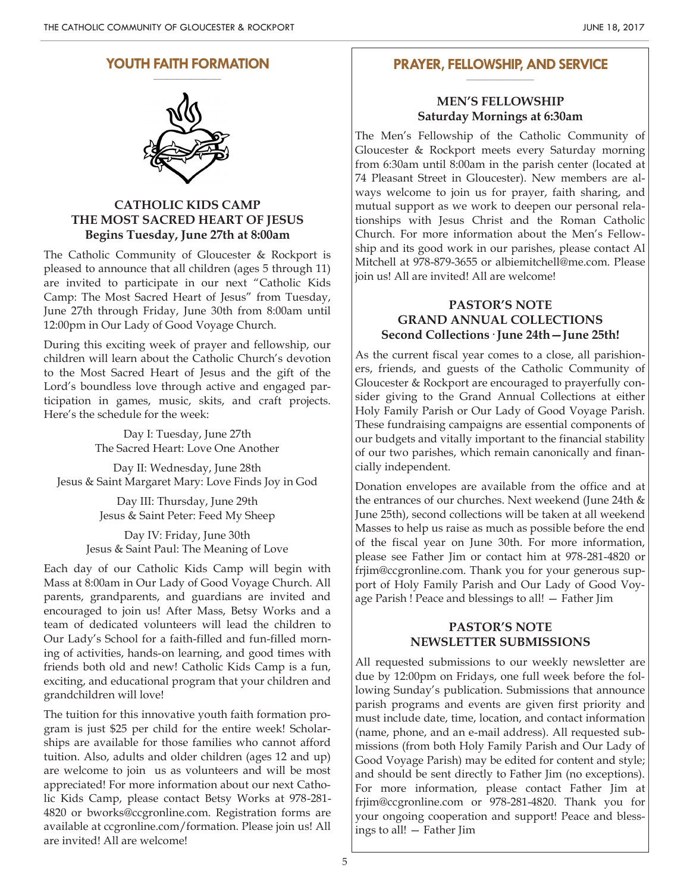# **YOUTH FAITH FORMATION**



# **CATHOLIC KIDS CAMP THE MOST SACRED HEART OF JESUS Begins Tuesday, June 27th at 8:00am**

The Catholic Community of Gloucester & Rockport is pleased to announce that all children (ages 5 through 11) are invited to participate in our next "Catholic Kids Camp: The Most Sacred Heart of Jesus" from Tuesday, June 27th through Friday, June 30th from 8:00am until 12:00pm in Our Lady of Good Voyage Church.

During this exciting week of prayer and fellowship, our children will learn about the Catholic Church's devotion to the Most Sacred Heart of Jesus and the gift of the Lord's boundless love through active and engaged participation in games, music, skits, and craft projects. Here's the schedule for the week:

> Day I: Tuesday, June 27th The Sacred Heart: Love One Another

Day II: Wednesday, June 28th Jesus & Saint Margaret Mary: Love Finds Joy in God

> Day III: Thursday, June 29th Jesus & Saint Peter: Feed My Sheep

Day IV: Friday, June 30th Jesus & Saint Paul: The Meaning of Love

Each day of our Catholic Kids Camp will begin with Mass at 8:00am in Our Lady of Good Voyage Church. All parents, grandparents, and guardians are invited and encouraged to join us! After Mass, Betsy Works and a team of dedicated volunteers will lead the children to Our Lady's School for a faith-filled and fun-filled morning of activities, hands-on learning, and good times with friends both old and new! Catholic Kids Camp is a fun, exciting, and educational program that your children and grandchildren will love!

The tuition for this innovative youth faith formation program is just \$25 per child for the entire week! Scholarships are available for those families who cannot afford tuition. Also, adults and older children (ages 12 and up) are welcome to join us as volunteers and will be most appreciated! For more information about our next Catholic Kids Camp, please contact Betsy Works at 978-281- 4820 or bworks@ccgronline.com. Registration forms are available at ccgronline.com/formation. Please join us! All are invited! All are welcome!

#### **PRAYER, FELLOWSHIP, AND SERVICE \_\_\_\_\_\_\_\_\_\_\_\_\_\_\_\_\_\_\_\_**

### **MEN'S FELLOWSHIP Saturday Mornings at 6:30am**

The Men's Fellowship of the Catholic Community of Gloucester & Rockport meets every Saturday morning from 6:30am until 8:00am in the parish center (located at 74 Pleasant Street in Gloucester). New members are always welcome to join us for prayer, faith sharing, and mutual support as we work to deepen our personal relationships with Jesus Christ and the Roman Catholic Church. For more information about the Men's Fellowship and its good work in our parishes, please contact Al Mitchell at 978-879-3655 or albiemitchell@me.com. Please join us! All are invited! All are welcome!

# **PASTOR'S NOTE GRAND ANNUAL COLLECTIONS Second Collections· June 24th—June 25th!**

As the current fiscal year comes to a close, all parishioners, friends, and guests of the Catholic Community of Gloucester & Rockport are encouraged to prayerfully consider giving to the Grand Annual Collections at either Holy Family Parish or Our Lady of Good Voyage Parish. These fundraising campaigns are essential components of our budgets and vitally important to the financial stability of our two parishes, which remain canonically and financially independent.

Donation envelopes are available from the office and at the entrances of our churches. Next weekend (June 24th & June 25th), second collections will be taken at all weekend Masses to help us raise as much as possible before the end of the fiscal year on June 30th. For more information, please see Father Jim or contact him at 978-281-4820 or frjim@ccgronline.com. Thank you for your generous support of Holy Family Parish and Our Lady of Good Voyage Parish ! Peace and blessings to all! — Father Jim

### **PASTOR'S NOTE NEWSLETTER SUBMISSIONS**

All requested submissions to our weekly newsletter are due by 12:00pm on Fridays, one full week before the following Sunday's publication. Submissions that announce parish programs and events are given first priority and must include date, time, location, and contact information (name, phone, and an e-mail address). All requested submissions (from both Holy Family Parish and Our Lady of Good Voyage Parish) may be edited for content and style; and should be sent directly to Father Jim (no exceptions). For more information, please contact Father Jim at frjim@ccgronline.com or 978-281-4820. Thank you for your ongoing cooperation and support! Peace and blessings to all! — Father Jim